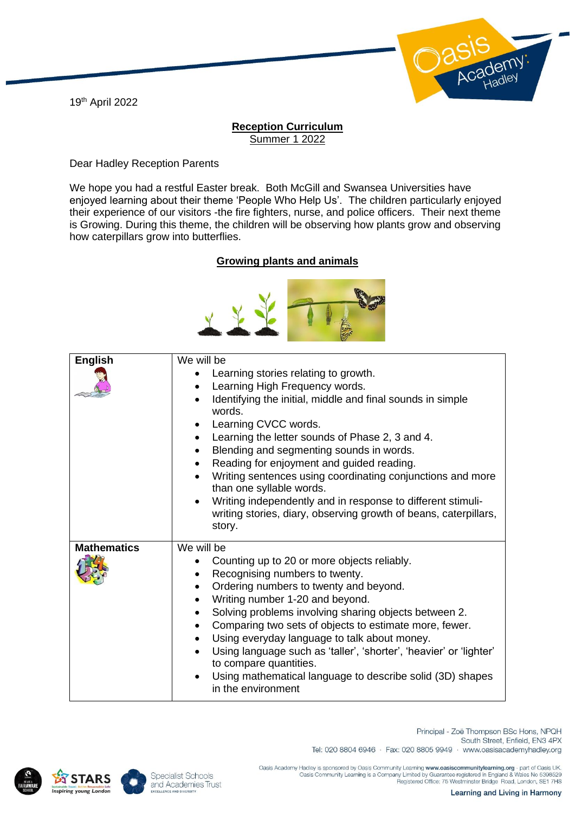19th April 2022



## **Reception Curriculum** Summer 1 2022

Dear Hadley Reception Parents

We hope you had a restful Easter break. Both McGill and Swansea Universities have enjoyed learning about their theme 'People Who Help Us'. The children particularly enjoyed their experience of our visitors -the fire fighters, nurse, and police officers. Their next theme is Growing. During this theme, the children will be observing how plants grow and observing how caterpillars grow into butterflies.

## **Growing plants and animals**



| <b>English</b>     | We will be<br>Learning stories relating to growth.<br>Learning High Frequency words.<br>$\bullet$<br>Identifying the initial, middle and final sounds in simple<br>words.<br>Learning CVCC words.<br>٠<br>Learning the letter sounds of Phase 2, 3 and 4.<br>$\bullet$<br>Blending and segmenting sounds in words.<br>$\bullet$<br>Reading for enjoyment and guided reading.<br>Writing sentences using coordinating conjunctions and more<br>than one syllable words.<br>Writing independently and in response to different stimuli-<br>writing stories, diary, observing growth of beans, caterpillars,<br>story. |
|--------------------|---------------------------------------------------------------------------------------------------------------------------------------------------------------------------------------------------------------------------------------------------------------------------------------------------------------------------------------------------------------------------------------------------------------------------------------------------------------------------------------------------------------------------------------------------------------------------------------------------------------------|
| <b>Mathematics</b> | We will be<br>Counting up to 20 or more objects reliably.<br>Recognising numbers to twenty.<br>Ordering numbers to twenty and beyond.<br>Writing number 1-20 and beyond.<br>$\bullet$<br>Solving problems involving sharing objects between 2.<br>Comparing two sets of objects to estimate more, fewer.<br>Using everyday language to talk about money.<br>Using language such as 'taller', 'shorter', 'heavier' or 'lighter'<br>to compare quantities.<br>Using mathematical language to describe solid (3D) shapes<br>in the environment                                                                         |





Principal - Zoë Thompson BSc Hons, NPQH South Street, Enfield, EN3 4PX Tel: 020 8804 6946 · Fax: 020 8805 9949 · www.oasisacademyhadley.org